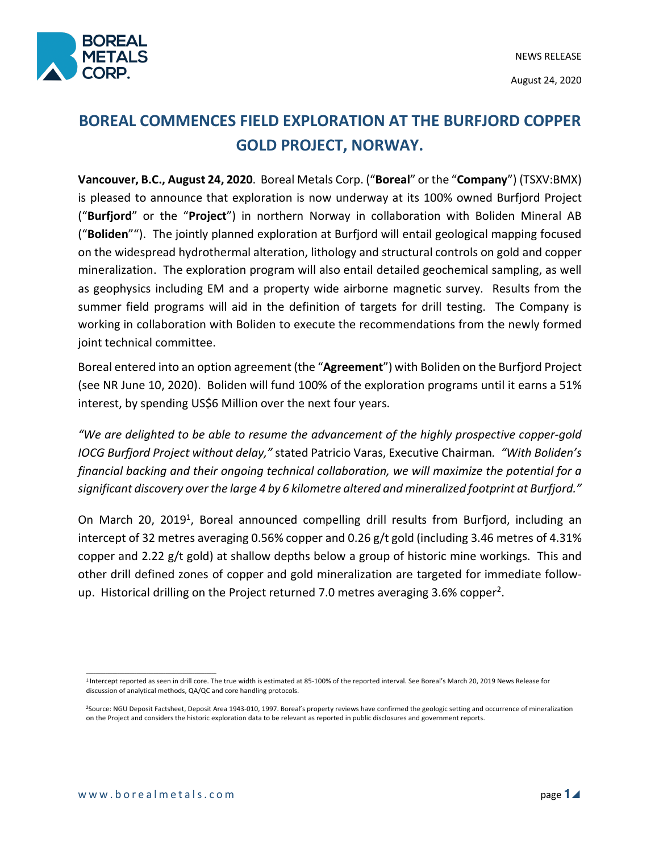

# **BOREAL COMMENCES FIELD EXPLORATION AT THE BURFJORD COPPER GOLD PROJECT, NORWAY.**

**Vancouver, B.C., August 24, 2020**. Boreal Metals Corp. ("**Boreal**" or the "**Company**") (TSXV:BMX) is pleased to announce that exploration is now underway at its 100% owned Burfjord Project ("**Burfjord**" or the "**Project**") in northern Norway in collaboration with Boliden Mineral AB ("**Boliden**""). The jointly planned exploration at Burfjord will entail geological mapping focused on the widespread hydrothermal alteration, lithology and structural controls on gold and copper mineralization. The exploration program will also entail detailed geochemical sampling, as well as geophysics including EM and a property wide airborne magnetic survey. Results from the summer field programs will aid in the definition of targets for drill testing. The Company is working in collaboration with Boliden to execute the recommendations from the newly formed joint technical committee.

Boreal entered into an option agreement (the "**Agreement**") with Boliden on the Burfjord Project (see NR June 10, 2020). Boliden will fund 100% of the exploration programs until it earns a 51% interest, by spending US\$6 Million over the next four years.

*"We are delighted to be able to resume the advancement of the highly prospective copper-gold IOCG Burfjord Project without delay,"* stated Patricio Varas, Executive Chairman*. "With Boliden's financial backing and their ongoing technical collaboration, we will maximize the potential for a significant discovery over the large 4 by 6 kilometre altered and mineralized footprint at Burfjord."* 

On March 20, 2019<sup>1</sup>, Boreal announced compelling drill results from Burfjord, including an intercept of 32 metres averaging 0.56% copper and 0.26 g/t gold (including 3.46 metres of 4.31% copper and 2.22 g/t gold) at shallow depths below a group of historic mine workings. This and other drill defined zones of copper and gold mineralization are targeted for immediate followup. Historical drilling on the Project returned 7.0 metres averaging 3.6% copper<sup>2</sup>.

 $\overline{\phantom{a}}$  , and the set of the set of the set of the set of the set of the set of the set of the set of the set of the set of the set of the set of the set of the set of the set of the set of the set of the set of the s

<sup>1</sup> Intercept reported as seen in drill core. The true width is estimated at 85-100% of the reported interval. See Boreal's March 20, 2019 News Release for discussion of analytical methods, QA/QC and core handling protocols.

<sup>2</sup>Source: NGU Deposit Factsheet, Deposit Area 1943-010, 1997. Boreal's property reviews have confirmed the geologic setting and occurrence of mineralization on the Project and considers the historic exploration data to be relevant as reported in public disclosures and government reports.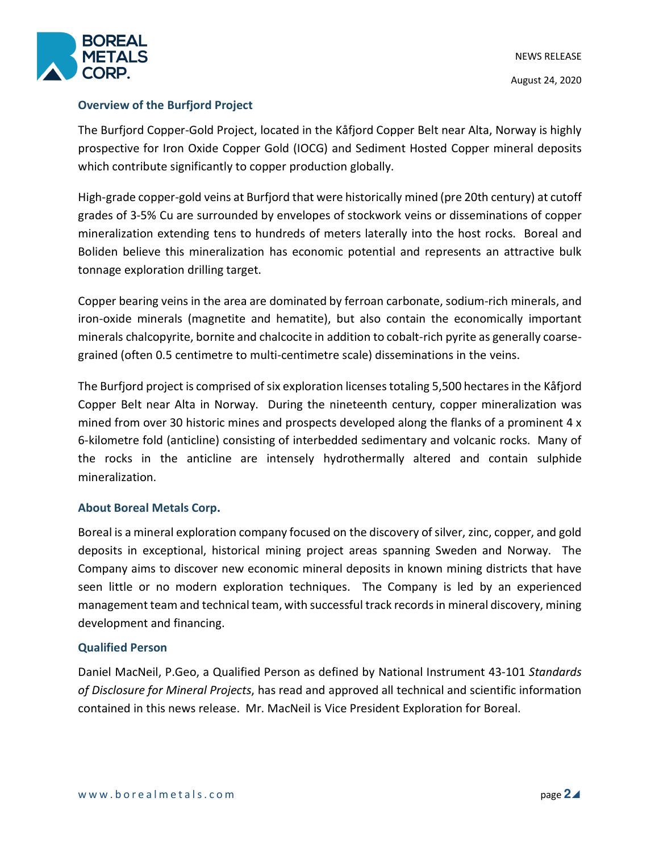

### **Overview of the Burfjord Project**

The Burfjord Copper-Gold Project, located in the Kåfjord Copper Belt near Alta, Norway is highly prospective for Iron Oxide Copper Gold (IOCG) and Sediment Hosted Copper mineral deposits which contribute significantly to copper production globally.

High-grade copper-gold veins at Burfjord that were historically mined (pre 20th century) at cutoff grades of 3-5% Cu are surrounded by envelopes of stockwork veins or disseminations of copper mineralization extending tens to hundreds of meters laterally into the host rocks. Boreal and Boliden believe this mineralization has economic potential and represents an attractive bulk tonnage exploration drilling target.

Copper bearing veins in the area are dominated by ferroan carbonate, sodium-rich minerals, and iron-oxide minerals (magnetite and hematite), but also contain the economically important minerals chalcopyrite, bornite and chalcocite in addition to cobalt-rich pyrite as generally coarsegrained (often 0.5 centimetre to multi-centimetre scale) disseminations in the veins.

The Burfjord project is comprised of six exploration licenses totaling 5,500 hectares in the Kåfjord Copper Belt near Alta in Norway. During the nineteenth century, copper mineralization was mined from over 30 historic mines and prospects developed along the flanks of a prominent 4 x 6-kilometre fold (anticline) consisting of interbedded sedimentary and volcanic rocks. Many of the rocks in the anticline are intensely hydrothermally altered and contain sulphide mineralization.

## **About Boreal Metals Corp.**

Boreal is a mineral exploration company focused on the discovery of silver, zinc, copper, and gold deposits in exceptional, historical mining project areas spanning Sweden and Norway. The Company aims to discover new economic mineral deposits in known mining districts that have seen little or no modern exploration techniques. The Company is led by an experienced management team and technical team, with successful track records in mineral discovery, mining development and financing.

#### **Qualified Person**

Daniel MacNeil, P.Geo, a Qualified Person as defined by National Instrument 43-101 *Standards of Disclosure for Mineral Projects*, has read and approved all technical and scientific information contained in this news release. Mr. MacNeil is Vice President Exploration for Boreal.